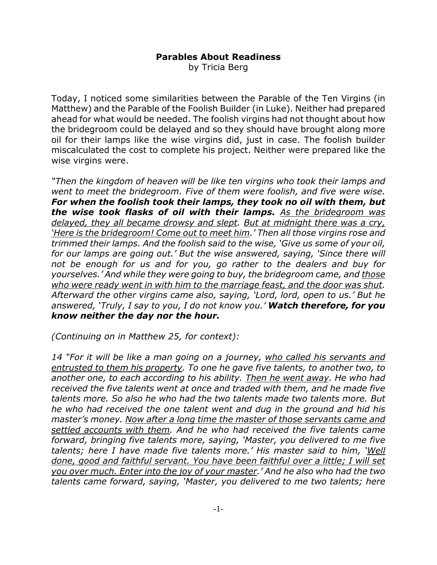## **Parables About Readiness**

by Tricia Berg

Today, I noticed some similarities between the Parable of the Ten Virgins (in Matthew) and the Parable of the Foolish Builder (in Luke). Neither had prepared ahead for what would be needed. The foolish virgins had not thought about how the bridegroom could be delayed and so they should have brought along more oil for their lamps like the wise virgins did, just in case. The foolish builder miscalculated the cost to complete his project. Neither were prepared like the wise virgins were.

*"Then the kingdom of heaven will be like ten virgins who took their lamps and went to meet the bridegroom. Five of them were foolish, and five were wise. For when the foolish took their lamps, they took no oil with them, but the wise took flasks of oil with their lamps. As the bridegroom was delayed, they all became drowsy and slept. But at midnight there was a cry, 'Here is the bridegroom! Come out to meet him.' Then all those virgins rose and trimmed their lamps. And the foolish said to the wise, 'Give us some of your oil, for our lamps are going out.' But the wise answered, saying, 'Since there will not be enough for us and for you, go rather to the dealers and buy for yourselves.' And while they were going to buy, the bridegroom came, and those who were ready went in with him to the marriage feast, and the door was shut. Afterward the other virgins came also, saying, 'Lord, lord, open to us.' But he answered, 'Truly, I say to you, I do not know you.' Watch therefore, for you know neither the day nor the hour.*

*(Continuing on in Matthew 25, for context):*

*14 "For it will be like a man going on a journey, who called his servants and entrusted to them his property. To one he gave five talents, to another two, to another one, to each according to his ability. Then he went away. He who had received the five talents went at once and traded with them, and he made five talents more. So also he who had the two talents made two talents more. But he who had received the one talent went and dug in the ground and hid his master's money. Now after a long time the master of those servants came and settled accounts with them. And he who had received the five talents came forward, bringing five talents more, saying, 'Master, you delivered to me five talents; here I have made five talents more.' His master said to him, 'Well done, good and faithful servant. You have been faithful over a little; I will set you over much. Enter into the joy of your master.' And he also who had the two talents came forward, saying, 'Master, you delivered to me two talents; here*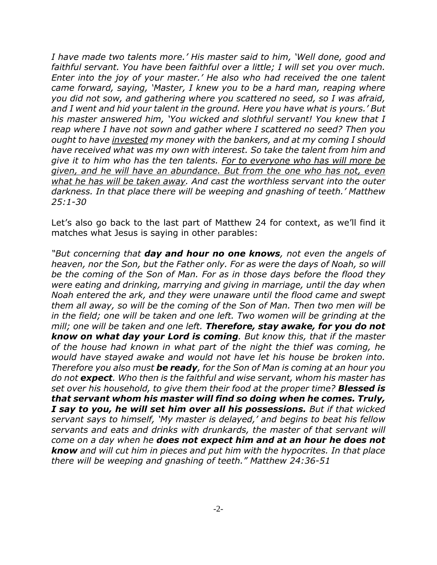*I have made two talents more.' His master said to him, 'Well done, good and faithful servant. You have been faithful over a little; I will set you over much. Enter into the joy of your master.' He also who had received the one talent came forward, saying, 'Master, I knew you to be a hard man, reaping where you did not sow, and gathering where you scattered no seed, so I was afraid, and I went and hid your talent in the ground. Here you have what is yours.' But his master answered him, 'You wicked and slothful servant! You knew that I reap where I have not sown and gather where I scattered no seed? Then you ought to have invested my money with the bankers, and at my coming I should have received what was my own with interest. So take the talent from him and give it to him who has the ten talents. For to everyone who has will more be given, and he will have an abundance. But from the one who has not, even what he has will be taken away. And cast the worthless servant into the outer darkness. In that place there will be weeping and gnashing of teeth.' Matthew 25:1-30*

Let's also go back to the last part of Matthew 24 for context, as we'll find it matches what Jesus is saying in other parables:

*"But concerning that day and hour no one knows, not even the angels of heaven, nor the Son, but the Father only. For as were the days of Noah, so will be the coming of the Son of Man. For as in those days before the flood they were eating and drinking, marrying and giving in marriage, until the day when Noah entered the ark, and they were unaware until the flood came and swept them all away, so will be the coming of the Son of Man. Then two men will be in the field; one will be taken and one left. Two women will be grinding at the mill; one will be taken and one left. Therefore, stay awake, for you do not know on what day your Lord is coming. But know this, that if the master of the house had known in what part of the night the thief was coming, he would have stayed awake and would not have let his house be broken into. Therefore you also must be ready, for the Son of Man is coming at an hour you do not expect. Who then is the faithful and wise servant, whom his master has set over his household, to give them their food at the proper time? Blessed is that servant whom his master will find so doing when he comes. Truly, I say to you, he will set him over all his possessions. But if that wicked servant says to himself, 'My master is delayed,' and begins to beat his fellow servants and eats and drinks with drunkards, the master of that servant will come on a day when he does not expect him and at an hour he does not know and will cut him in pieces and put him with the hypocrites. In that place there will be weeping and gnashing of teeth." Matthew 24:36-51*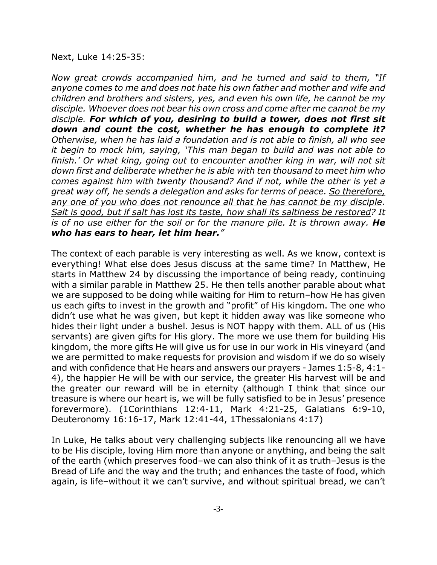## Next, Luke 14:25-35:

*Now great crowds accompanied him, and he turned and said to them, "If anyone comes to me and does not hate his own father and mother and wife and children and brothers and sisters, yes, and even his own life, he cannot be my disciple. Whoever does not bear his own cross and come after me cannot be my disciple. For which of you, desiring to build a tower, does not first sit down and count the cost, whether he has enough to complete it? Otherwise, when he has laid a foundation and is not able to finish, all who see it begin to mock him, saying, 'This man began to build and was not able to finish.' Or what king, going out to encounter another king in war, will not sit down first and deliberate whether he is able with ten thousand to meet him who comes against him with twenty thousand? And if not, while the other is yet a great way off, he sends a delegation and asks for terms of peace. So therefore, any one of you who does not renounce all that he has cannot be my disciple. Salt is good, but if salt has lost its taste, how shall its saltiness be restored? It is of no use either for the soil or for the manure pile. It is thrown away.* He *who has ears to hear, let him hear."*

The context of each parable is very interesting as well. As we know, context is everything! What else does Jesus discuss at the same time? In Matthew, He starts in Matthew 24 by discussing the importance of being ready, continuing with a similar parable in Matthew 25. He then tells another parable about what we are supposed to be doing while waiting for Him to return–how He has given us each gifts to invest in the growth and "profit" of His kingdom. The one who didn't use what he was given, but kept it hidden away was like someone who hides their light under a bushel. Jesus is NOT happy with them. ALL of us (His servants) are given gifts for His glory. The more we use them for building His kingdom, the more gifts He will give us for use in our work in His vineyard (and we are permitted to make requests for provision and wisdom if we do so wisely and with confidence that He hears and answers our prayers - James 1:5-8, 4:1- 4), the happier He will be with our service, the greater His harvest will be and the greater our reward will be in eternity (although I think that since our treasure is where our heart is, we will be fully satisfied to be in Jesus' presence forevermore). (1Corinthians 12:4-11, Mark 4:21-25, Galatians 6:9-10, Deuteronomy 16:16-17, Mark 12:41-44, 1Thessalonians 4:17)

In Luke, He talks about very challenging subjects like renouncing all we have to be His disciple, loving Him more than anyone or anything, and being the salt of the earth (which preserves food–we can also think of it as truth–Jesus is the Bread of Life and the way and the truth; and enhances the taste of food, which again, is life–without it we can't survive, and without spiritual bread, we can't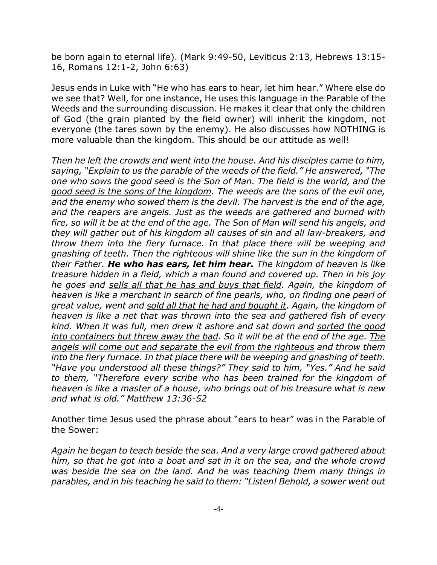be born again to eternal life). (Mark 9:49-50, Leviticus 2:13, Hebrews 13:15- 16, Romans 12:1-2, John 6:63)

Jesus ends in Luke with "He who has ears to hear, let him hear." Where else do we see that? Well, for one instance, He uses this language in the Parable of the Weeds and the surrounding discussion. He makes it clear that only the children of God (the grain planted by the field owner) will inherit the kingdom, not everyone (the tares sown by the enemy). He also discusses how NOTHING is more valuable than the kingdom. This should be our attitude as well!

*Then he left the crowds and went into the house. And his disciples came to him, saying, "Explain to us the parable of the weeds of the field." He answered, "The one who sows the good seed is the Son of Man. The field is the world, and the good seed is the sons of the kingdom. The weeds are the sons of the evil one, and the enemy who sowed them is the devil. The harvest is the end of the age, and the reapers are angels. Just as the weeds are gathered and burned with fire, so will it be at the end of the age. The Son of Man will send his angels, and they will gather out of his kingdom all causes of sin and all law-breakers, and throw them into the fiery furnace. In that place there will be weeping and gnashing of teeth. Then the righteous will shine like the sun in the kingdom of their Father. He who has ears, let him hear. The kingdom of heaven is like treasure hidden in a field, which a man found and covered up. Then in his joy he goes and sells all that he has and buys that field. Again, the kingdom of heaven is like a merchant in search of fine pearls, who, on finding one pearl of great value, went and sold all that he had and bought it. Again, the kingdom of heaven is like a net that was thrown into the sea and gathered fish of every kind. When it was full, men drew it ashore and sat down and sorted the good into containers but threw away the bad. So it will be at the end of the age. The angels will come out and separate the evil from the righteous and throw them into the fiery furnace. In that place there will be weeping and gnashing of teeth. "Have you understood all these things?" They said to him, "Yes." And he said to them, "Therefore every scribe who has been trained for the kingdom of heaven is like a master of a house, who brings out of his treasure what is new and what is old." Matthew 13:36-52*

Another time Jesus used the phrase about "ears to hear" was in the Parable of the Sower:

*Again he began to teach beside the sea. And a very large crowd gathered about him, so that he got into a boat and sat in it on the sea, and the whole crowd was beside the sea on the land. And he was teaching them many things in parables, and in his teaching he said to them: "Listen! Behold, a sower went out*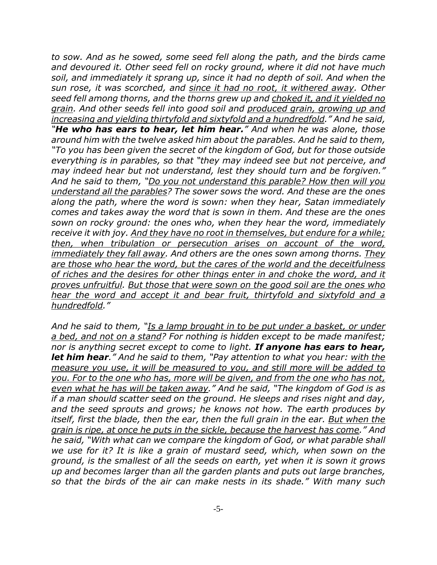*to sow. And as he sowed, some seed fell along the path, and the birds came and devoured it. Other seed fell on rocky ground, where it did not have much soil, and immediately it sprang up, since it had no depth of soil. And when the sun rose, it was scorched, and since it had no root, it withered away. Other seed fell among thorns, and the thorns grew up and choked it, and it yielded no grain. And other seeds fell into good soil and produced grain, growing up and increasing and yielding thirtyfold and sixtyfold and a hundredfold." And he said, "He who has ears to hear, let him hear." And when he was alone, those around him with the twelve asked him about the parables. And he said to them, "To you has been given the secret of the kingdom of God, but for those outside everything is in parables, so that "they may indeed see but not perceive, and may indeed hear but not understand, lest they should turn and be forgiven." And he said to them, "Do you not understand this parable? How then will you understand all the parables? The sower sows the word. And these are the ones along the path, where the word is sown: when they hear, Satan immediately comes and takes away the word that is sown in them. And these are the ones sown on rocky ground: the ones who, when they hear the word, immediately receive it with joy. And they have no root in themselves, but endure for a while; then, when tribulation or persecution arises on account of the word, immediately they fall away. And others are the ones sown among thorns. They are those who hear the word, but the cares of the world and the deceitfulness of riches and the desires for other things enter in and choke the word, and it proves unfruitful. But those that were sown on the good soil are the ones who hear the word and accept it and bear fruit, thirtyfold and sixtyfold and a hundredfold."* 

*And he said to them, "Is a lamp brought in to be put under a basket, or under a bed, and not on a stand? For nothing is hidden except to be made manifest; nor is anything secret except to come to light. If anyone has ears to hear, let him hear." And he said to them, "Pay attention to what you hear: with the measure you use, it will be measured to you, and still more will be added to you. For to the one who has, more will be given, and from the one who has not, even what he has will be taken away." And he said, "The kingdom of God is as if a man should scatter seed on the ground. He sleeps and rises night and day, and the seed sprouts and grows; he knows not how. The earth produces by itself, first the blade, then the ear, then the full grain in the ear. But when the grain is ripe, at once he puts in the sickle, because the harvest has come." And he said, "With what can we compare the kingdom of God, or what parable shall we use for it? It is like a grain of mustard seed, which, when sown on the ground, is the smallest of all the seeds on earth, yet when it is sown it grows up and becomes larger than all the garden plants and puts out large branches, so that the birds of the air can make nests in its shade." With many such*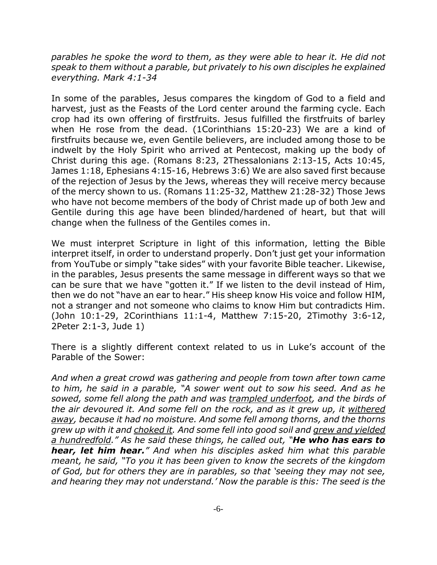*parables he spoke the word to them, as they were able to hear it. He did not speak to them without a parable, but privately to his own disciples he explained everything. Mark 4:1-34*

In some of the parables, Jesus compares the kingdom of God to a field and harvest, just as the Feasts of the Lord center around the farming cycle. Each crop had its own offering of firstfruits. Jesus fulfilled the firstfruits of barley when He rose from the dead. (1Corinthians 15:20-23) We are a kind of firstfruits because we, even Gentile believers, are included among those to be indwelt by the Holy Spirit who arrived at Pentecost, making up the body of Christ during this age. (Romans 8:23, 2Thessalonians 2:13-15, Acts 10:45, James 1:18, Ephesians 4:15-16, Hebrews 3:6) We are also saved first because of the rejection of Jesus by the Jews, whereas they will receive mercy because of the mercy shown to us. (Romans 11:25-32, Matthew 21:28-32) Those Jews who have not become members of the body of Christ made up of both Jew and Gentile during this age have been blinded/hardened of heart, but that will change when the fullness of the Gentiles comes in.

We must interpret Scripture in light of this information, letting the Bible interpret itself, in order to understand properly. Don't just get your information from YouTube or simply "take sides" with your favorite Bible teacher. Likewise, in the parables, Jesus presents the same message in different ways so that we can be sure that we have "gotten it." If we listen to the devil instead of Him, then we do not "have an ear to hear." His sheep know His voice and follow HIM, not a stranger and not someone who claims to know Him but contradicts Him. (John 10:1-29, 2Corinthians 11:1-4, Matthew 7:15-20, 2Timothy 3:6-12, 2Peter 2:1-3, Jude 1)

There is a slightly different context related to us in Luke's account of the Parable of the Sower:

*And when a great crowd was gathering and people from town after town came to him, he said in a parable, "A sower went out to sow his seed. And as he sowed, some fell along the path and was trampled underfoot, and the birds of the air devoured it. And some fell on the rock, and as it grew up, it withered away, because it had no moisture. And some fell among thorns, and the thorns grew up with it and choked it. And some fell into good soil and grew and yielded a hundredfold." As he said these things, he called out, "He who has ears to hear, let him hear." And when his disciples asked him what this parable meant, he said, "To you it has been given to know the secrets of the kingdom of God, but for others they are in parables, so that 'seeing they may not see, and hearing they may not understand.' Now the parable is this: The seed is the*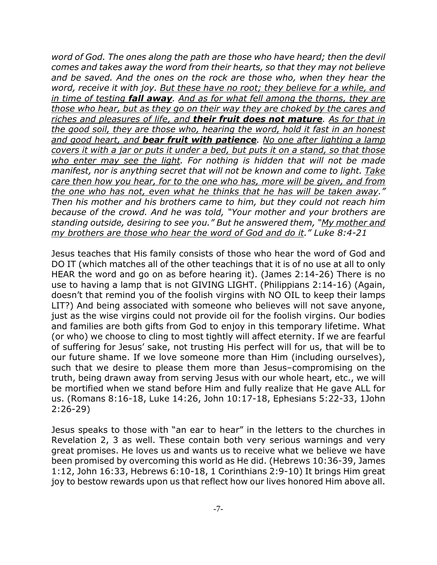*word of God. The ones along the path are those who have heard; then the devil comes and takes away the word from their hearts, so that they may not believe and be saved. And the ones on the rock are those who, when they hear the word, receive it with joy. But these have no root; they believe for a while, and in time of testing fall away. And as for what fell among the thorns, they are those who hear, but as they go on their way they are choked by the cares and riches and pleasures of life, and their fruit does not mature. As for that in the good soil, they are those who, hearing the word, hold it fast in an honest and good heart, and bear fruit with patience. No one after lighting a lamp covers it with a jar or puts it under a bed, but puts it on a stand, so that those who enter may see the light. For nothing is hidden that will not be made manifest, nor is anything secret that will not be known and come to light. Take care then how you hear, for to the one who has, more will be given, and from the one who has not, even what he thinks that he has will be taken away." Then his mother and his brothers came to him, but they could not reach him because of the crowd. And he was told, "Your mother and your brothers are standing outside, desiring to see you." But he answered them, "My mother and my brothers are those who hear the word of God and do it." Luke 8:4-21*

Jesus teaches that His family consists of those who hear the word of God and DO IT (which matches all of the other teachings that it is of no use at all to only HEAR the word and go on as before hearing it). (James 2:14-26) There is no use to having a lamp that is not GIVING LIGHT. (Philippians 2:14-16) (Again, doesn't that remind you of the foolish virgins with NO OIL to keep their lamps LIT?) And being associated with someone who believes will not save anyone, just as the wise virgins could not provide oil for the foolish virgins. Our bodies and families are both gifts from God to enjoy in this temporary lifetime. What (or who) we choose to cling to most tightly will affect eternity. If we are fearful of suffering for Jesus' sake, not trusting His perfect will for us, that will be to our future shame. If we love someone more than Him (including ourselves), such that we desire to please them more than Jesus–compromising on the truth, being drawn away from serving Jesus with our whole heart, etc., we will be mortified when we stand before Him and fully realize that He gave ALL for us. (Romans 8:16-18, Luke 14:26, John 10:17-18, Ephesians 5:22-33, 1John 2:26-29)

Jesus speaks to those with "an ear to hear" in the letters to the churches in Revelation 2, 3 as well. These contain both very serious warnings and very great promises. He loves us and wants us to receive what we believe we have been promised by overcoming this world as He did. (Hebrews 10:36-39, James 1:12, John 16:33, Hebrews 6:10-18, 1 Corinthians 2:9-10) It brings Him great joy to bestow rewards upon us that reflect how our lives honored Him above all.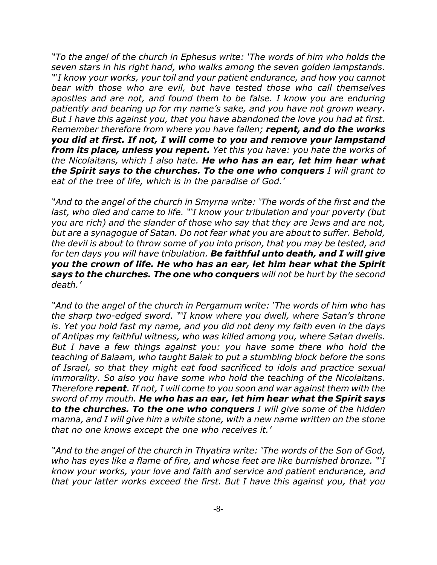*"To the angel of the church in Ephesus write: 'The words of him who holds the seven stars in his right hand, who walks among the seven golden lampstands. "'I know your works, your toil and your patient endurance, and how you cannot bear with those who are evil, but have tested those who call themselves apostles and are not, and found them to be false. I know you are enduring patiently and bearing up for my name's sake, and you have not grown weary. But I have this against you, that you have abandoned the love you had at first. Remember therefore from where you have fallen; repent, and do the works you did at first. If not, I will come to you and remove your lampstand from its place, unless you repent. Yet this you have: you hate the works of the Nicolaitans, which I also hate. He who has an ear, let him hear what the Spirit says to the churches. To the one who conquers I will grant to eat of the tree of life, which is in the paradise of God.'* 

*"And to the angel of the church in Smyrna write: 'The words of the first and the last, who died and came to life. "'I know your tribulation and your poverty (but you are rich) and the slander of those who say that they are Jews and are not, but are a synagogue of Satan. Do not fear what you are about to suffer. Behold, the devil is about to throw some of you into prison, that you may be tested, and for ten days you will have tribulation. Be faithful unto death, and I will give you the crown of life. He who has an ear, let him hear what the Spirit says to the churches. The one who conquers will not be hurt by the second death.'* 

*"And to the angel of the church in Pergamum write: 'The words of him who has the sharp two-edged sword. "'I know where you dwell, where Satan's throne is. Yet you hold fast my name, and you did not deny my faith even in the days of Antipas my faithful witness, who was killed among you, where Satan dwells. But I have a few things against you: you have some there who hold the teaching of Balaam, who taught Balak to put a stumbling block before the sons of Israel, so that they might eat food sacrificed to idols and practice sexual immorality. So also you have some who hold the teaching of the Nicolaitans. Therefore repent. If not, I will come to you soon and war against them with the sword of my mouth. He who has an ear, let him hear what the Spirit says to the churches. To the one who conquers I will give some of the hidden manna, and I will give him a white stone, with a new name written on the stone that no one knows except the one who receives it.'* 

*"And to the angel of the church in Thyatira write: 'The words of the Son of God, who has eyes like a flame of fire, and whose feet are like burnished bronze. "'I know your works, your love and faith and service and patient endurance, and that your latter works exceed the first. But I have this against you, that you*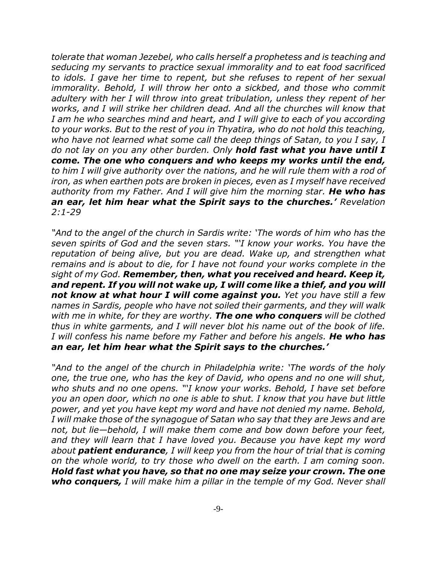*tolerate that woman Jezebel, who calls herself a prophetess and is teaching and seducing my servants to practice sexual immorality and to eat food sacrificed to idols. I gave her time to repent, but she refuses to repent of her sexual immorality. Behold, I will throw her onto a sickbed, and those who commit adultery with her I will throw into great tribulation, unless they repent of her works, and I will strike her children dead. And all the churches will know that I am he who searches mind and heart, and I will give to each of you according to your works. But to the rest of you in Thyatira, who do not hold this teaching, who have not learned what some call the deep things of Satan, to you I say, I do not lay on you any other burden. Only hold fast what you have until I come. The one who conquers and who keeps my works until the end, to him I will give authority over the nations, and he will rule them with a rod of iron, as when earthen pots are broken in pieces, even as I myself have received authority from my Father. And I will give him the morning star. He who has an ear, let him hear what the Spirit says to the churches.' Revelation 2:1-29*

*"And to the angel of the church in Sardis write: 'The words of him who has the seven spirits of God and the seven stars. "'I know your works. You have the reputation of being alive, but you are dead. Wake up, and strengthen what remains and is about to die, for I have not found your works complete in the sight of my God. Remember, then, what you received and heard. Keep it, and repent. If you will not wake up, I will come like a thief, and you will not know at what hour I will come against you. Yet you have still a few names in Sardis, people who have not soiled their garments, and they will walk with me in white, for they are worthy. The one who conquers will be clothed thus in white garments, and I will never blot his name out of the book of life. I will confess his name before my Father and before his angels. He who has an ear, let him hear what the Spirit says to the churches.'* 

*"And to the angel of the church in Philadelphia write: 'The words of the holy one, the true one, who has the key of David, who opens and no one will shut, who shuts and no one opens. "'I know your works. Behold, I have set before you an open door, which no one is able to shut. I know that you have but little power, and yet you have kept my word and have not denied my name. Behold, I will make those of the synagogue of Satan who say that they are Jews and are not, but lie—behold, I will make them come and bow down before your feet, and they will learn that I have loved you. Because you have kept my word about patient endurance, I will keep you from the hour of trial that is coming on the whole world, to try those who dwell on the earth. I am coming soon. Hold fast what you have, so that no one may seize your crown. The one who conquers, I will make him a pillar in the temple of my God. Never shall*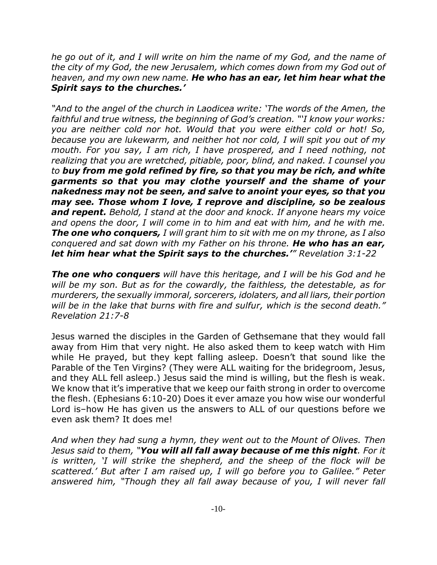*he go out of it, and I will write on him the name of my God, and the name of the city of my God, the new Jerusalem, which comes down from my God out of heaven, and my own new name. He who has an ear, let him hear what the Spirit says to the churches.'*

*"And to the angel of the church in Laodicea write: 'The words of the Amen, the faithful and true witness, the beginning of God's creation. "'I know your works: you are neither cold nor hot. Would that you were either cold or hot! So, because you are lukewarm, and neither hot nor cold, I will spit you out of my mouth. For you say, I am rich, I have prospered, and I need nothing, not realizing that you are wretched, pitiable, poor, blind, and naked. I counsel you to buy from me gold refined by fire, so that you may be rich, and white garments so that you may clothe yourself and the shame of your nakedness may not be seen, and salve to anoint your eyes, so that you may see. Those whom I love, I reprove and discipline, so be zealous and repent. Behold, I stand at the door and knock. If anyone hears my voice and opens the door, I will come in to him and eat with him, and he with me. The one who conquers, I will grant him to sit with me on my throne, as I also conquered and sat down with my Father on his throne. He who has an ear, let him hear what the Spirit says to the churches.'" Revelation 3:1-22*

*The one who conquers will have this heritage, and I will be his God and he will be my son. But as for the cowardly, the faithless, the detestable, as for murderers, the sexually immoral, sorcerers, idolaters, and all liars, their portion will be in the lake that burns with fire and sulfur, which is the second death." Revelation 21:7-8*

Jesus warned the disciples in the Garden of Gethsemane that they would fall away from Him that very night. He also asked them to keep watch with Him while He prayed, but they kept falling asleep. Doesn't that sound like the Parable of the Ten Virgins? (They were ALL waiting for the bridegroom, Jesus, and they ALL fell asleep.) Jesus said the mind is willing, but the flesh is weak. We know that it's imperative that we keep our faith strong in order to overcome the flesh. (Ephesians 6:10-20) Does it ever amaze you how wise our wonderful Lord is–how He has given us the answers to ALL of our questions before we even ask them? It does me!

*And when they had sung a hymn, they went out to the Mount of Olives. Then Jesus said to them, "You will all fall away because of me this night. For it is written, 'I will strike the shepherd, and the sheep of the flock will be scattered.' But after I am raised up, I will go before you to Galilee." Peter answered him, "Though they all fall away because of you, I will never fall*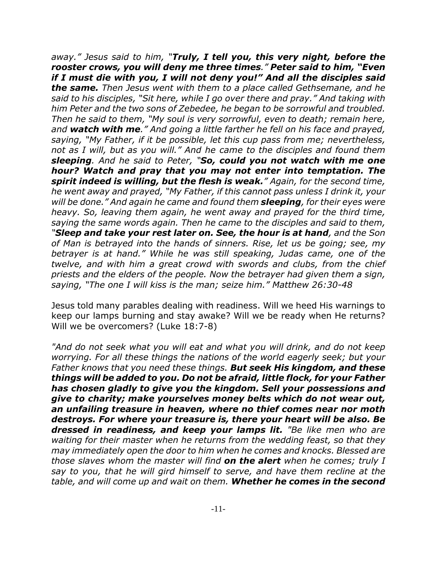*away." Jesus said to him, "Truly, I tell you, this very night, before the rooster crows, you will deny me three times." Peter said to him, "Even if I must die with you, I will not deny you!" And all the disciples said the same. Then Jesus went with them to a place called Gethsemane, and he said to his disciples, "Sit here, while I go over there and pray." And taking with him Peter and the two sons of Zebedee, he began to be sorrowful and troubled. Then he said to them, "My soul is very sorrowful, even to death; remain here, and watch with me." And going a little farther he fell on his face and prayed, saying, "My Father, if it be possible, let this cup pass from me; nevertheless, not as I will, but as you will." And he came to the disciples and found them sleeping. And he said to Peter, "So, could you not watch with me one hour? Watch and pray that you may not enter into temptation. The spirit indeed is willing, but the flesh is weak." Again, for the second time, he went away and prayed, "My Father, if this cannot pass unless I drink it, your will be done." And again he came and found them sleeping, for their eyes were heavy. So, leaving them again, he went away and prayed for the third time, saying the same words again. Then he came to the disciples and said to them, "Sleep and take your rest later on. See, the hour is at hand, and the Son of Man is betrayed into the hands of sinners. Rise, let us be going; see, my betrayer is at hand." While he was still speaking, Judas came, one of the twelve, and with him a great crowd with swords and clubs, from the chief priests and the elders of the people. Now the betrayer had given them a sign, saying, "The one I will kiss is the man; seize him." Matthew 26:30-48*

Jesus told many parables dealing with readiness. Will we heed His warnings to keep our lamps burning and stay awake? Will we be ready when He returns? Will we be overcomers? (Luke 18:7-8)

*"And do not seek what you will eat and what you will drink, and do not keep worrying. For all these things the nations of the world eagerly seek; but your Father knows that you need these things. But seek His kingdom, and these things will be added to you. Do not be afraid, little flock, for your Father has chosen gladly to give you the kingdom. Sell your possessions and give to charity; make yourselves money belts which do not wear out, an unfailing treasure in heaven, where no thief comes near nor moth destroys. For where your treasure is, there your heart will be also. Be dressed in readiness, and keep your lamps lit. "Be like men who are waiting for their master when he returns from the wedding feast, so that they may immediately open the door to him when he comes and knocks. Blessed are those slaves whom the master will find on the alert when he comes; truly I say to you, that he will gird himself to serve, and have them recline at the table, and will come up and wait on them. Whether he comes in the second*